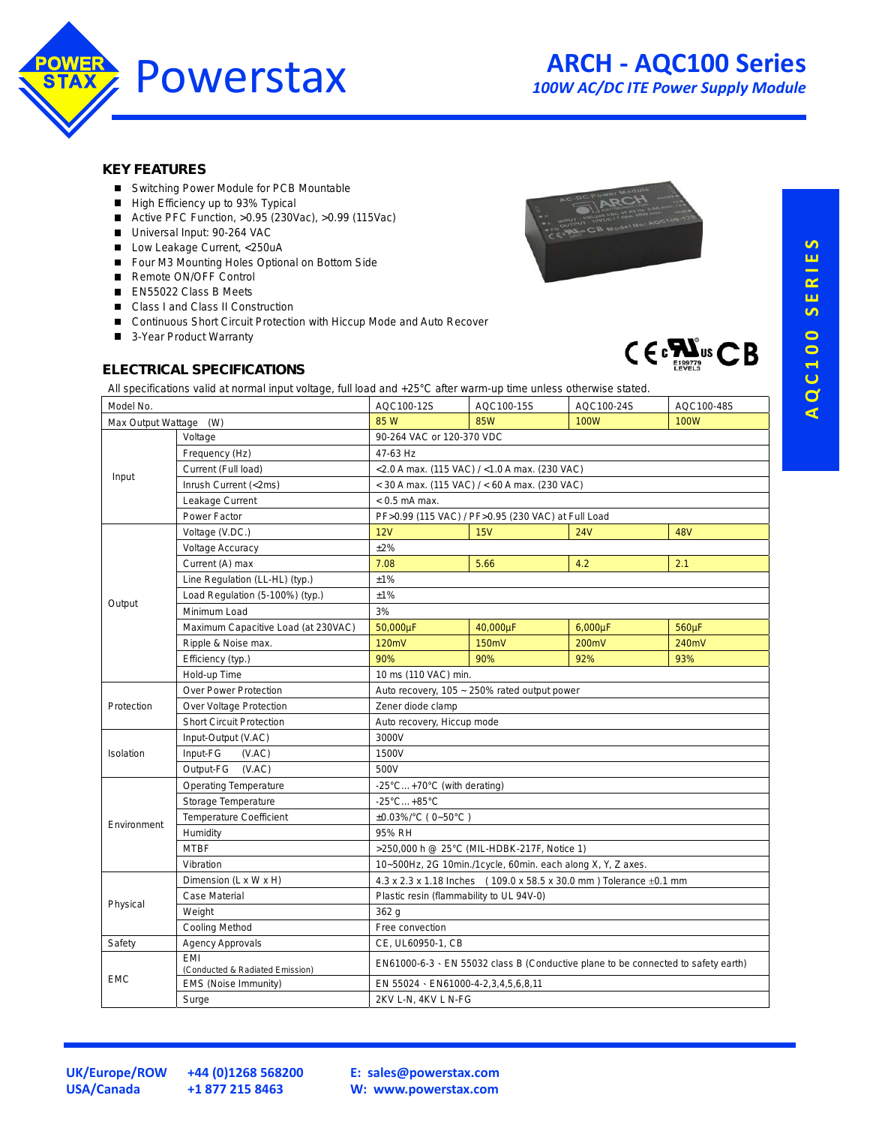

#### **KEY FEATURES**

- Switching Power Module for PCB Mountable
- High Efficiency up to 93% Typical
- Active PFC Function, >0.95 (230Vac), >0.99 (115Vac)
- Universal Input: 90-264 VAC
- Low Leakage Current, <250uA
- Four M3 Mounting Holes Optional on Bottom Side
- Remote ON/OFF Control
- EN55022 Class B Meets
- Class I and Class II Construction
- Continuous Short Circuit Protection with Hiccup Mode and Auto Recover
- 3-Year Product Warranty

## **ELECTRICAL SPECIFICATIONS**





All specifications valid at normal input voltage, full load and +25°C after warm-up time unless otherwise stated.

| Model No.              |                                        | AQC100-12S                                                         | AQC100-15S                                                                              | AQC100-24S   | AQC100-48S  |  |  |  |  |
|------------------------|----------------------------------------|--------------------------------------------------------------------|-----------------------------------------------------------------------------------------|--------------|-------------|--|--|--|--|
| Max Output Wattage (W) |                                        | 85 W                                                               | <b>85W</b>                                                                              | <b>100W</b>  | <b>100W</b> |  |  |  |  |
| Input                  | Voltage                                | 90-264 VAC or 120-370 VDC                                          |                                                                                         |              |             |  |  |  |  |
|                        | Frequency (Hz)                         | 47-63 Hz                                                           |                                                                                         |              |             |  |  |  |  |
|                        | Current (Full load)                    | <2.0 A max. (115 VAC) / <1.0 A max. (230 VAC)                      |                                                                                         |              |             |  |  |  |  |
|                        | Inrush Current (<2ms)                  | $<$ 30 A max. (115 VAC) / $<$ 60 A max. (230 VAC)                  |                                                                                         |              |             |  |  |  |  |
|                        | Leakage Current                        | $< 0.5$ mA max.                                                    |                                                                                         |              |             |  |  |  |  |
|                        | Power Factor                           | PF>0.99 (115 VAC) / PF>0.95 (230 VAC) at Full Load                 |                                                                                         |              |             |  |  |  |  |
|                        | Voltage (V.DC.)                        | 12V                                                                | 15V                                                                                     | 24V          | <b>48V</b>  |  |  |  |  |
|                        | <b>Voltage Accuracy</b>                | $±2\%$                                                             |                                                                                         |              |             |  |  |  |  |
|                        | Current (A) max                        | 7.08                                                               | 5.66                                                                                    | 4.2          | 2.1         |  |  |  |  |
| Output                 | Line Regulation (LL-HL) (typ.)         | ±1%                                                                |                                                                                         |              |             |  |  |  |  |
|                        | Load Regulation (5-100%) (typ.)        | ±1%                                                                |                                                                                         |              |             |  |  |  |  |
|                        | Minimum Load                           | 3%                                                                 |                                                                                         |              |             |  |  |  |  |
|                        | Maximum Capacitive Load (at 230VAC)    | 50,000µF                                                           | 40,000µF                                                                                | $6,000\mu F$ | 560µF       |  |  |  |  |
|                        | Ripple & Noise max.                    | 120mV                                                              | 150mV                                                                                   | 200mV        | 240mV       |  |  |  |  |
|                        | Efficiency (typ.)                      | 90%                                                                | 90%                                                                                     | 92%          | 93%         |  |  |  |  |
|                        | Hold-up Time                           | 10 ms (110 VAC) min.                                               |                                                                                         |              |             |  |  |  |  |
|                        | Over Power Protection                  | Auto recovery, 105 ~ 250% rated output power                       |                                                                                         |              |             |  |  |  |  |
| Protection             | Over Voltage Protection                | Zener diode clamp                                                  |                                                                                         |              |             |  |  |  |  |
|                        | <b>Short Circuit Protection</b>        | Auto recovery, Hiccup mode                                         |                                                                                         |              |             |  |  |  |  |
|                        | Input-Output (V.AC)                    | 3000V                                                              |                                                                                         |              |             |  |  |  |  |
| Isolation              | Input-FG<br>(VAC)                      | 1500V                                                              |                                                                                         |              |             |  |  |  |  |
|                        | Output-FG (V.AC)                       | 500V                                                               |                                                                                         |              |             |  |  |  |  |
|                        | <b>Operating Temperature</b>           | -25°C+70°C (with derating)                                         |                                                                                         |              |             |  |  |  |  |
|                        | Storage Temperature                    | $-25^{\circ}$ C +85 $^{\circ}$ C                                   |                                                                                         |              |             |  |  |  |  |
| Environment            | <b>Temperature Coefficient</b>         | ±0.03%/°C (0~50°C)                                                 |                                                                                         |              |             |  |  |  |  |
|                        | Humidity                               | 95% RH                                                             |                                                                                         |              |             |  |  |  |  |
|                        | <b>MTBF</b>                            | >250,000 h @ 25°C (MIL-HDBK-217F, Notice 1)                        |                                                                                         |              |             |  |  |  |  |
|                        | Vibration                              | 10~500Hz, 2G 10min./1cycle, 60min. each along X, Y, Z axes.        |                                                                                         |              |             |  |  |  |  |
|                        | Dimension (L x W x H)                  | 4.3 x 2.3 x 1.18 Inches (109.0 x 58.5 x 30.0 mm) Tolerance ±0.1 mm |                                                                                         |              |             |  |  |  |  |
| Physical               | <b>Case Material</b>                   | Plastic resin (flammability to UL 94V-0)                           |                                                                                         |              |             |  |  |  |  |
|                        | Weight                                 | 362 g                                                              |                                                                                         |              |             |  |  |  |  |
|                        | <b>Cooling Method</b>                  | Free convection                                                    |                                                                                         |              |             |  |  |  |  |
| Safety                 | <b>Agency Approvals</b>                | CE, UL60950-1, CB                                                  |                                                                                         |              |             |  |  |  |  |
| <b>EMC</b>             | EMI<br>(Conducted & Radiated Emission) |                                                                    | $EN61000-6-3 \cdot EN 55032$ class B (Conductive plane to be connected to safety earth) |              |             |  |  |  |  |
|                        | EMS (Noise Immunity)                   | EN 55024 · EN61000-4-2,3,4,5,6,8,11                                |                                                                                         |              |             |  |  |  |  |
|                        | Surge                                  | 2KV L-N, 4KV L N-FG                                                |                                                                                         |              |             |  |  |  |  |

+44 (0)1268 568200 +1 877 215 8463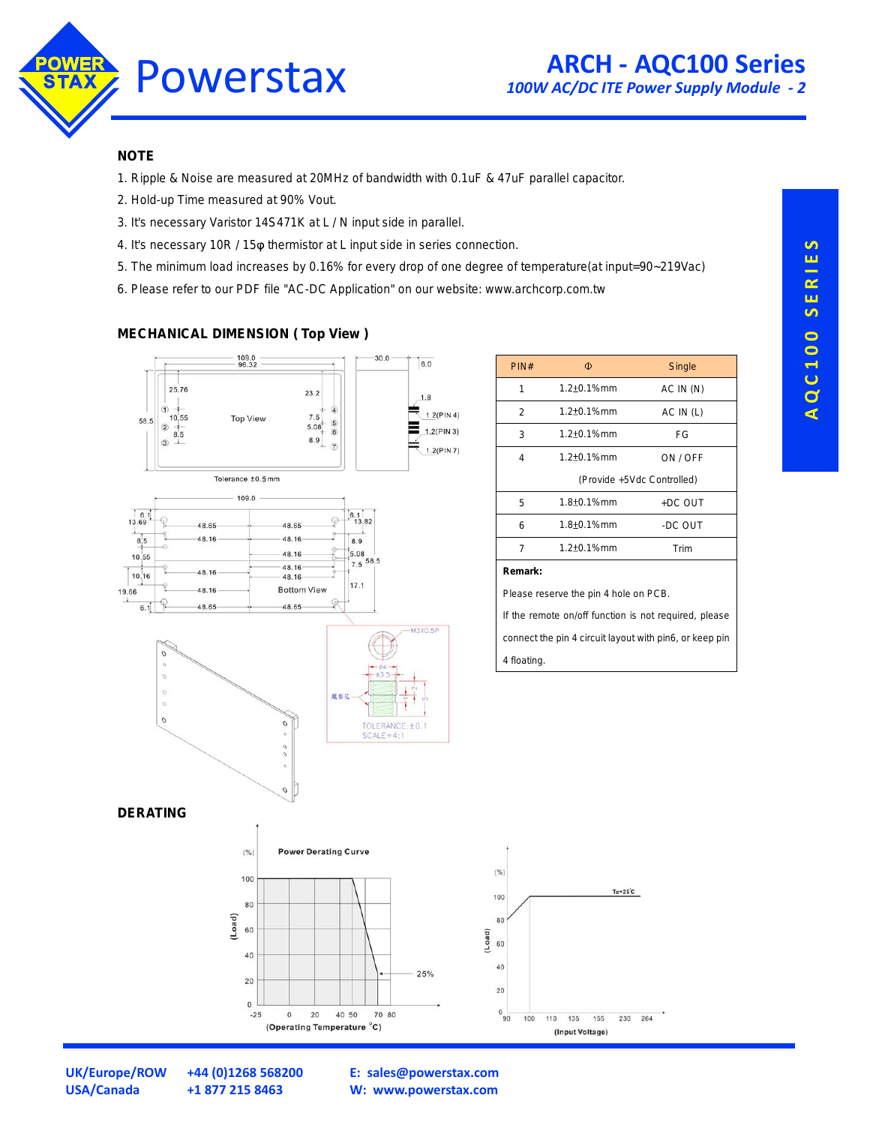

## **NOTE**

- 1. Ripple & Noise are measured at 20MHz of bandwidth with 0.1uF & 47uF parallel capacitor.
- 2. Hold-up Time measured at 90% Vout.
- 3. It's necessary Varistor 14S471K at L / N input side in parallel.
- 4. It's necessary 10R / 15 $\varphi$  thermistor at L input side in series connection.
- 5. The minimum load increases by 0.16% for every drop of one degree of temperature(at input=90~219Vac)
- 6. Please refer to our PDF file "AC-DC Application" on our website: www.archcorp.com.tw

### **MECHANICAL DIMENSION ( Top View )**



| PIN#           | Φ                          | Single    |  |  |  |  |  |
|----------------|----------------------------|-----------|--|--|--|--|--|
| 1              | $1.2 + 0.1%$ mm            | AC IN(N)  |  |  |  |  |  |
| $\overline{2}$ | $1.2 + 0.1%$ mm            | AC IN (L) |  |  |  |  |  |
| 3              | $1.2 + 0.1%$ mm            | FG        |  |  |  |  |  |
| 4              | 1.2±0.1%mm                 | ON / OFF  |  |  |  |  |  |
|                | (Provide +5Vdc Controlled) |           |  |  |  |  |  |
| 5              | 1.8 <sup>+</sup> 0.1%mm    | +DC OUT   |  |  |  |  |  |
| 6              | 1.8±0.1%mm                 | -DC OUT   |  |  |  |  |  |
| 7              | 1.2±0.1%mm                 | Trim      |  |  |  |  |  |
|                |                            |           |  |  |  |  |  |

Please reserve the pin 4 hole on PCB.

If the remote on/off function is not required, please connect the pin 4 circuit layout with pin6, or keep pin





**A Q C 1 0 0 S E R I E S**

**USA/Canada +1 877 215 8463**

**UK/Europe/ROW +44 (0)1268 568200**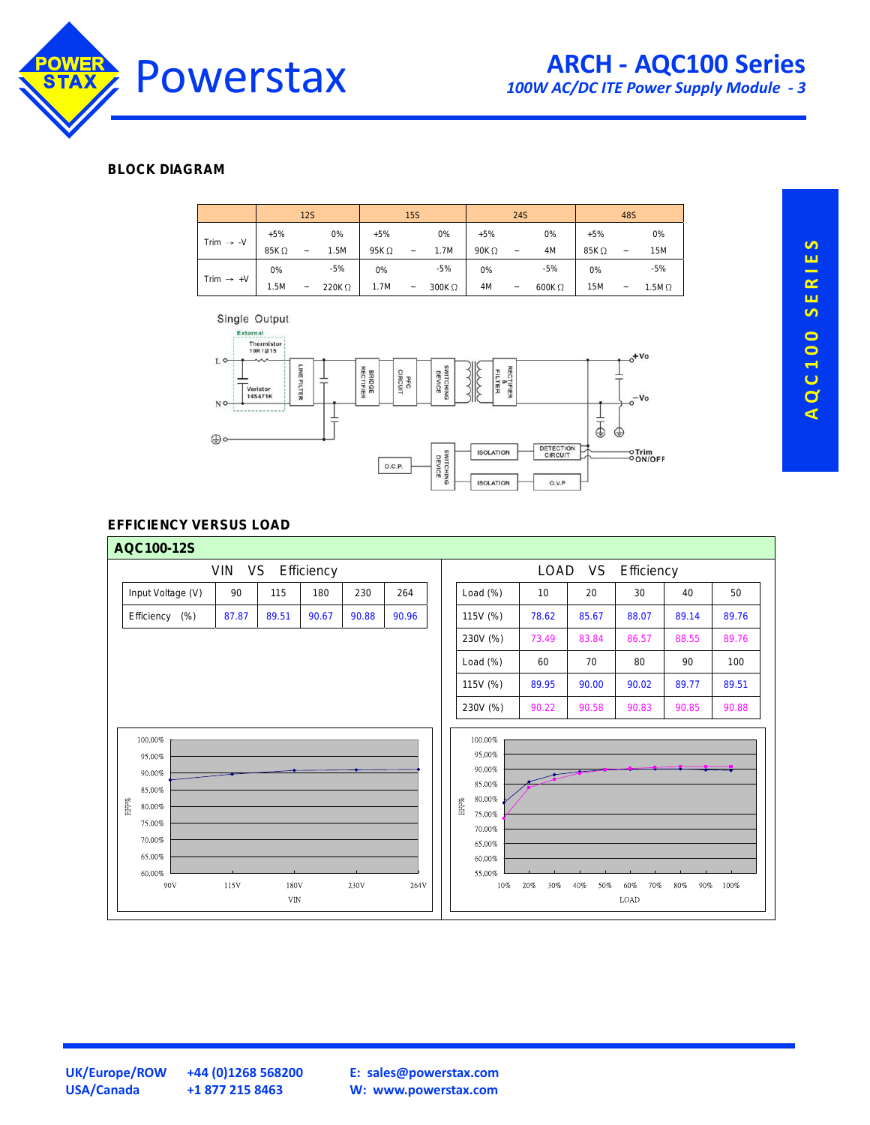

# **ARCH - AQC100 Series**

*100W AC/DC ITE Power Supply Module - 3*

## **BLOCK DIAGRAM**





## **EFFICIENCY VERSUS LOAD**



**UK/Europe/ROW +44 (0)1268 568200 USA/Canada +1 877 215 8463**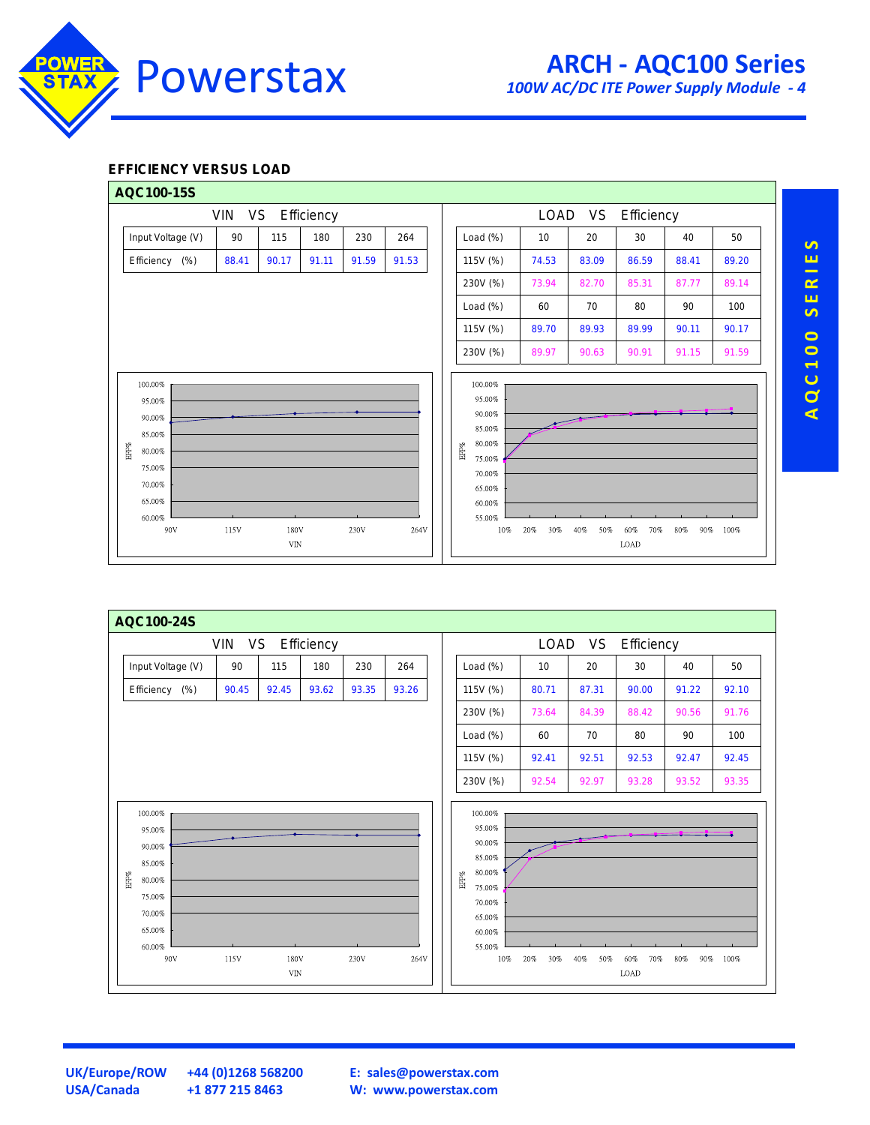

# **ARCH - AQC100 Series**

*100W AC/DC ITE Power Supply Module - 4*

## **EFFICIENCY VERSUS LOAD**



|             | AQC100-24S                                                                                     |       |                     |       |       |       |                       |                                                                                                          |            |            |                    |            |       |
|-------------|------------------------------------------------------------------------------------------------|-------|---------------------|-------|-------|-------|-----------------------|----------------------------------------------------------------------------------------------------------|------------|------------|--------------------|------------|-------|
|             | VIN VS Efficiency                                                                              |       |                     |       |       |       | LOAD VS<br>Efficiency |                                                                                                          |            |            |                    |            |       |
|             | Input Voltage (V)                                                                              | 90    | 115                 | 180   | 230   | 264   |                       | Load $(\%)$                                                                                              | 10         | 20         | 30                 | 40         | 50    |
|             | Efficiency (%)                                                                                 | 90.45 | 92.45               | 93.62 | 93.35 | 93.26 |                       | 115V (%)                                                                                                 | 80.71      | 87.31      | 90.00              | 91.22      | 92.10 |
|             |                                                                                                |       |                     |       |       |       |                       | 230V (%)                                                                                                 | 73.64      | 84.39      | 88.42              | 90.56      | 91.76 |
|             |                                                                                                |       |                     |       |       |       |                       | Load $(\%)$                                                                                              | 60         | 70         | 80                 | 90         | 100   |
|             |                                                                                                |       |                     |       |       |       |                       | 115V (%)                                                                                                 | 92.41      | 92.51      | 92.53              | 92.47      | 92.45 |
|             |                                                                                                |       |                     |       |       |       |                       | 230V (%)                                                                                                 | 92.54      | 92.97      | 93.28              | 93.52      | 93.35 |
| ${\rm HFG}$ | 100.00%<br>95.00%<br>90.00%<br>85.00%<br>80.00%<br>75.00%<br>70.00%<br>65.00%<br>60.00%<br>90V | 115V  | 180V<br>${\rm VIN}$ |       | 230V  | 264V  | $\mathsf{EFF}\%$      | 100.00%<br>95.00%<br>90.00%<br>85.00%<br>80.00%<br>75.00%<br>70.00%<br>65.00%<br>60.00%<br>55.00%<br>10% | 20%<br>30% | 50%<br>40% | 60%<br>70%<br>LOAD | 80%<br>90% | 100%  |

AQC100 SERIES **A Q C 1 0 0 S E R I E S**

**USA/Canada +1 877 215 8463**

**UK/Europe/ROW +44 (0)1268 568200**